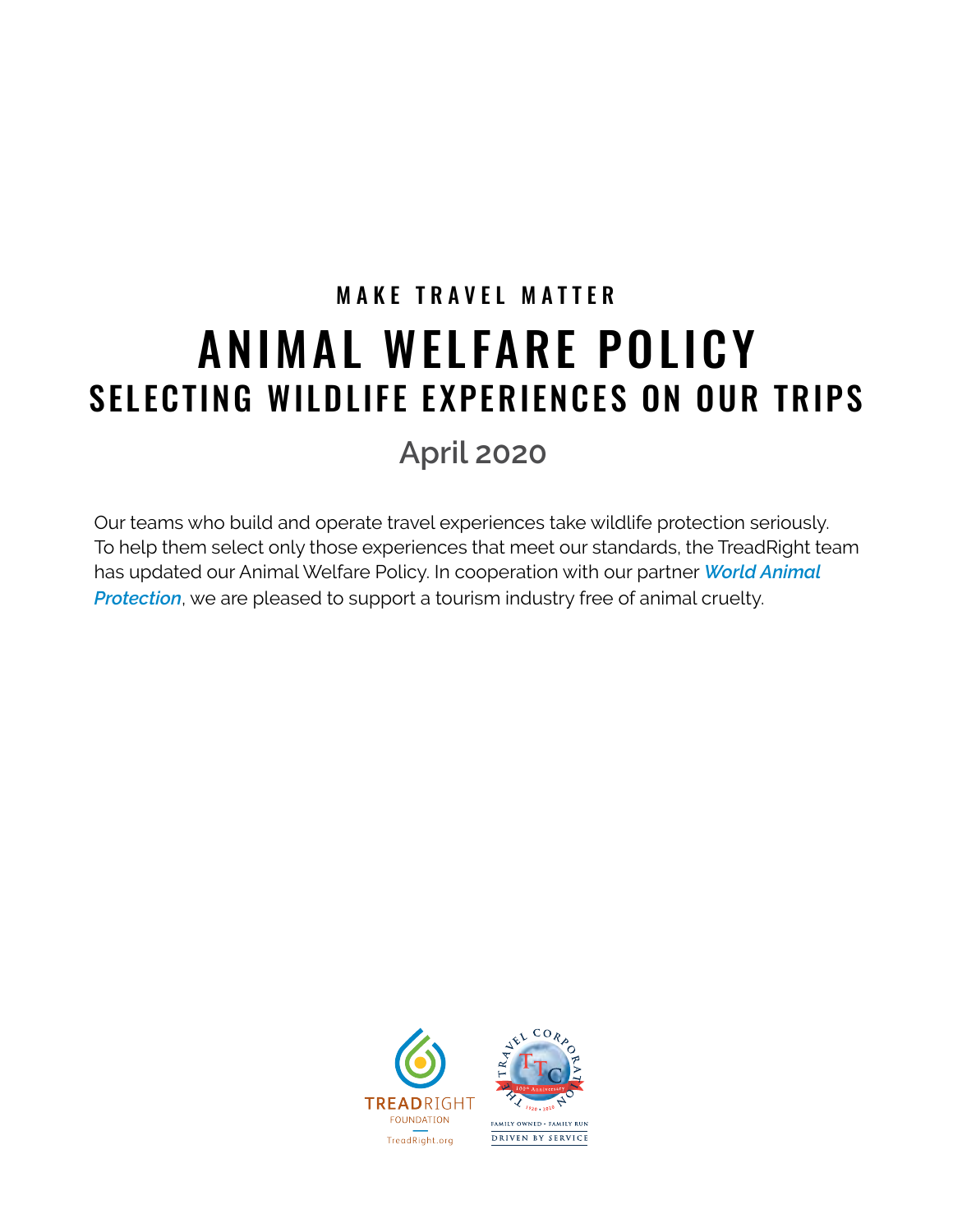# MAKE TRAVEL MATTER ANIMAL WELFARE POLICY SELECTING WILDLIFE EXPERIENCES ON OUR TRIPS

# **April 2020**

Our teams who build and operate travel experiences take wildlife protection seriously. To help them select only those experiences that meet our standards, the TreadRight team has updated our Animal Welfare Policy. In cooperation with our partner *[World Animal](https://www.worldanimalprotection.org/)*  **[Protection](https://www.worldanimalprotection.org/)**, we are pleased to support a tourism industry free of animal cruelty.



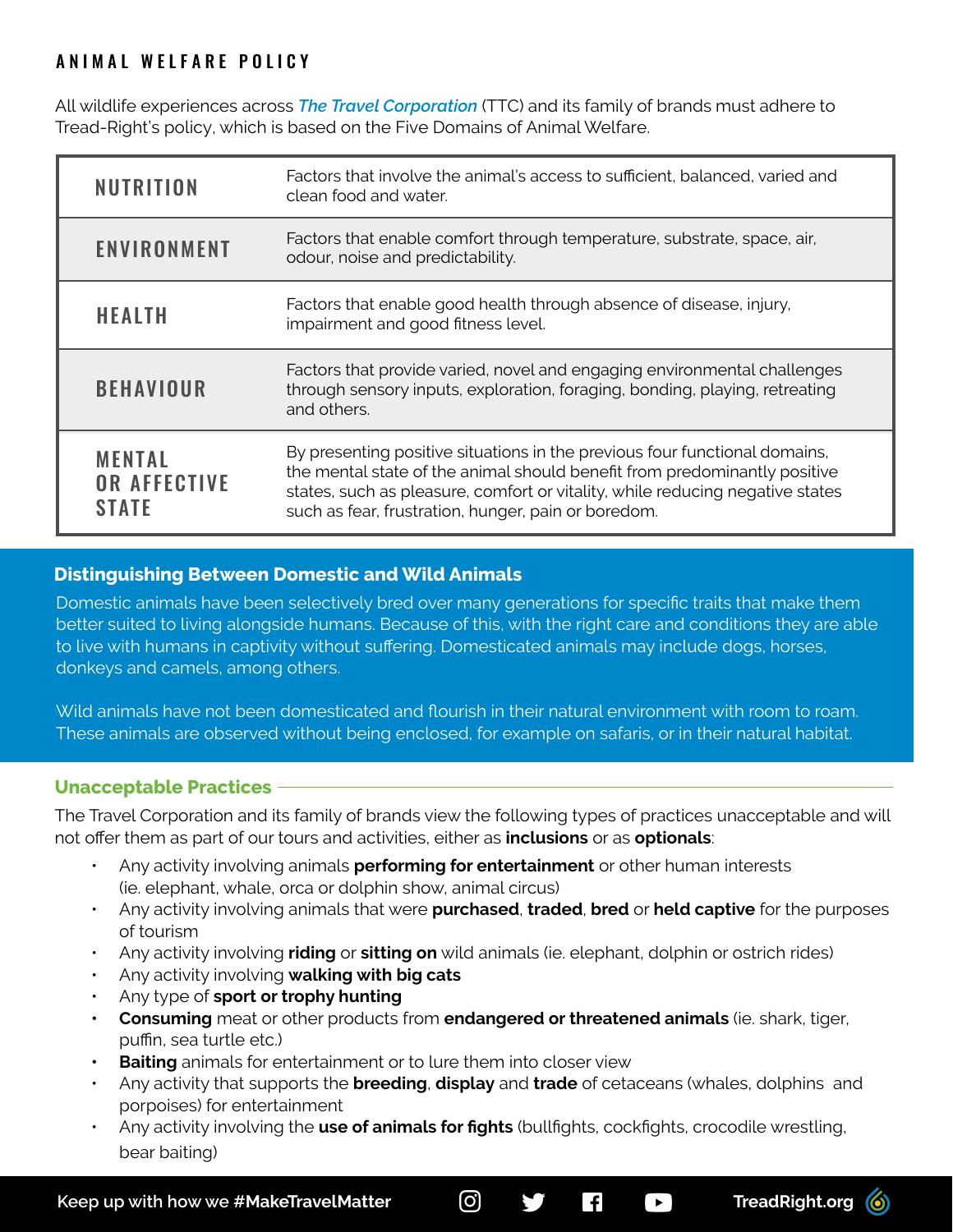### ANIMAL WELFARE POLICY

All wildlife experiences across *[The Travel Corporation](http://www.ttc.com)* (TTC) and its family of brands must adhere to Tread-Right's policy, which is based on the Five Domains of Animal Welfare.

| <b>NUTRITION</b>                                     | Factors that involve the animal's access to sufficient, balanced, varied and<br>clean food and water.                                                                                                                                                                                           |
|------------------------------------------------------|-------------------------------------------------------------------------------------------------------------------------------------------------------------------------------------------------------------------------------------------------------------------------------------------------|
| ENVIRONMENT                                          | Factors that enable comfort through temperature, substrate, space, air,<br>odour, noise and predictability.                                                                                                                                                                                     |
| <b>HEALTH</b>                                        | Factors that enable good health through absence of disease, injury,<br>impairment and good fitness level.                                                                                                                                                                                       |
| <b>BEHAVIOUR</b>                                     | Factors that provide varied, novel and engaging environmental challenges<br>through sensory inputs, exploration, foraging, bonding, playing, retreating<br>and others.                                                                                                                          |
| <b>MENTAL</b><br><b>OR AFFECTIVE</b><br><b>STATE</b> | By presenting positive situations in the previous four functional domains,<br>the mental state of the animal should benefit from predominantly positive<br>states, such as pleasure, comfort or vitality, while reducing negative states<br>such as fear, frustration, hunger, pain or boredom. |

#### **Distinguishing Between Domestic and Wild Animals**

Domestic animals have been selectively bred over many generations for specific traits that make them better suited to living alongside humans. Because of this, with the right care and conditions they are able to live with humans in captivity without suffering. Domesticated animals may include dogs, horses, donkeys and camels, among others.

Wild animals have not been domesticated and flourish in their natural environment with room to roam. These animals are observed without being enclosed, for example on safaris, or in their natural habitat.

#### **Unacceptable Practices**

The Travel Corporation and its family of brands view the following types of practices unacceptable and will not offer them as part of our tours and activities, either as **inclusions** or as **optionals**:

- Any activity involving animals **performing for entertainment** or other human interests (ie. elephant, whale, orca or dolphin show, animal circus)
- Any activity involving animals that were **purchased**, **traded**, **bred** or **held captive** for the purposes of tourism
- Any activity involving **riding** or **sitting on** wild animals (ie. elephant, dolphin or ostrich rides)
- Any activity involving **walking with big cats**
- Any type of **sport or trophy hunting**
- **• Consuming** meat or other products from **endangered or threatened animals** (ie. shark, tiger, puffin, sea turtle etc.)
- **• Baiting** animals for entertainment or to lure them into closer view
- Any activity that supports the **breeding**, **display** and **trade** of cetaceans (whales, dolphins and porpoises) for entertainment
- Any activity involving the **use of animals for fights** (bullfights, cockfights, crocodile wrestling, bear baiting)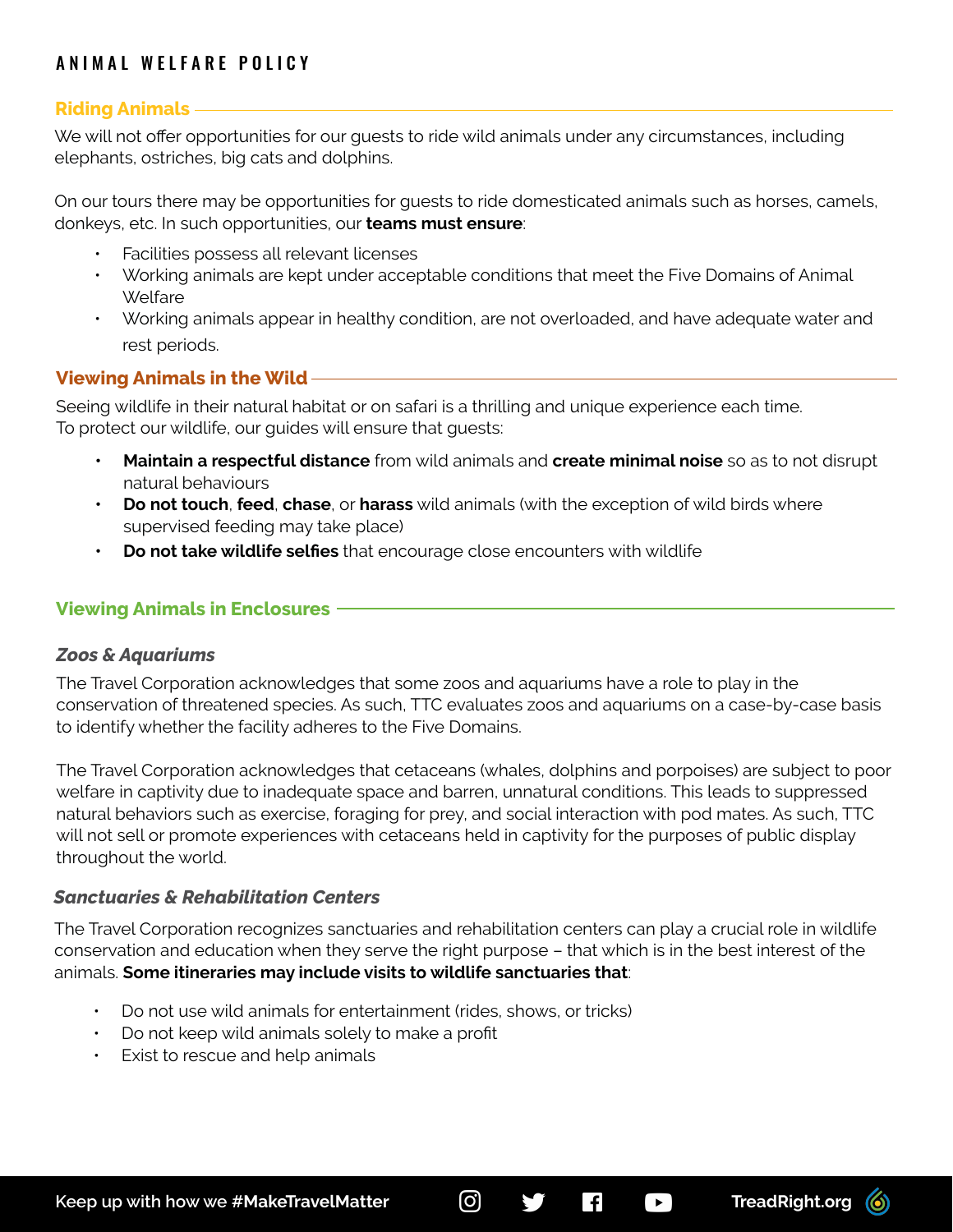## ANIMAL WELFARE POLICY

#### **Riding Animals**

We will not offer opportunities for our guests to ride wild animals under any circumstances, including elephants, ostriches, big cats and dolphins.

On our tours there may be opportunities for guests to ride domesticated animals such as horses, camels, donkeys, etc. In such opportunities, our **teams must ensure**:

- Facilities possess all relevant licenses
- Working animals are kept under acceptable conditions that meet the Five Domains of Animal Welfare
- Working animals appear in healthy condition, are not overloaded, and have adequate water and rest periods.

#### **Viewing Animals in the Wild**

Seeing wildlife in their natural habitat or on safari is a thrilling and unique experience each time. To protect our wildlife, our guides will ensure that guests:

- **• Maintain a respectful distance** from wild animals and **create minimal noise** so as to not disrupt natural behaviours
- **• Do not touch**, **feed**, **chase**, or **harass** wild animals (with the exception of wild birds where supervised feeding may take place)
- **• Do not take wildlife selfies** that encourage close encounters with wildlife

#### **Viewing Animals in Enclosures**

#### *Zoos & Aquariums*

The Travel Corporation acknowledges that some zoos and aquariums have a role to play in the conservation of threatened species. As such, TTC evaluates zoos and aquariums on a case-by-case basis to identify whether the facility adheres to the Five Domains.

The Travel Corporation acknowledges that cetaceans (whales, dolphins and porpoises) are subject to poor welfare in captivity due to inadequate space and barren, unnatural conditions. This leads to suppressed natural behaviors such as exercise, foraging for prey, and social interaction with pod mates. As such, TTC will not sell or promote experiences with cetaceans held in captivity for the purposes of public display throughout the world.

#### *Sanctuaries & Rehabilitation Centers*

The Travel Corporation recognizes sanctuaries and rehabilitation centers can play a crucial role in wildlife conservation and education when they serve the right purpose – that which is in the best interest of the animals. **Some itineraries may include visits to wildlife sanctuaries that**:

- Do not use wild animals for entertainment (rides, shows, or tricks)
- Do not keep wild animals solely to make a profit
- Exist to rescue and help animals